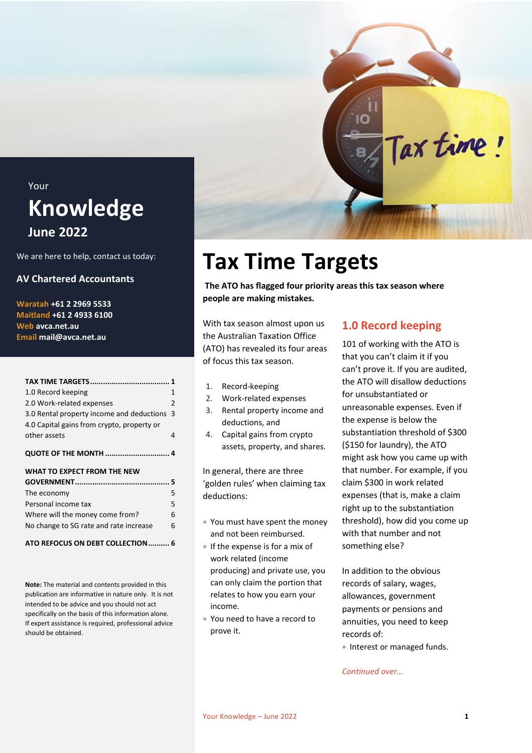### <span id="page-0-0"></span>Your **Knowledge June 2022**

We are here to help, contact us today:

#### **AV Chartered Accountants**

**Waratah +61 2 2969 5533 Maitland +61 2 4933 6100 Web avca.net.au Email mail@avca.net.au**

|                                            | 1             |
|--------------------------------------------|---------------|
| 1.0 Record keeping                         | 1             |
| 2.0 Work-related expenses                  | $\mathcal{P}$ |
| 3.0 Rental property income and deductions  | 3             |
| 4.0 Capital gains from crypto, property or |               |
| other assets                               | 4             |
| <b>QUOTE OF THE MONTH  4</b>               |               |
|                                            |               |
| WHAT TO EXPECT FROM THE NEW                |               |
|                                            |               |
| The economy                                | 5             |
| Personal income tax                        | 5             |
| Where will the money come from?            | 6             |
| No change to SG rate and rate increase     | 6             |

**Note:** The material and contents provided in this publication are informative in nature only. It is not intended to be advice and you should not act specifically on the basis of this information alone. If expert assistance is required, professional advice should be obtained.

## **Tax Time Targets**

**The ATO has flagged four priority areas this tax season where people are making mistakes.**

With tax season almost upon us the Australian Taxation Office (ATO) has revealed its four areas of focus this tax season.

- 1. Record-keeping
- 2. Work-related expenses
- 3. Rental property income and deductions, and
- 4. Capital gains from crypto assets, property, and shares.

In general, there are three 'golden rules' when claiming tax deductions:

- You must have spent the money and not been reimbursed.
- If the expense is for a mix of work related (income producing) and private use, you can only claim the portion that relates to how you earn your income.
- You need to have a record to prove it.

#### <span id="page-0-1"></span>**1.0 Record keeping**

Tax time!

101 of working with the ATO is that you can't claim it if you can't prove it. If you are audited, the ATO will disallow deductions for unsubstantiated or unreasonable expenses. Even if the expense is below the substantiation threshold of \$300 (\$150 for laundry), the ATO might ask how you came up with that number. For example, if you claim \$300 in work related expenses (that is, make a claim right up to the substantiation threshold), how did you come up with that number and not something else?

In addition to the obvious records of salary, wages, allowances, government payments or pensions and annuities, you need to keep records of:

• Interest or managed funds.

*Continued over…*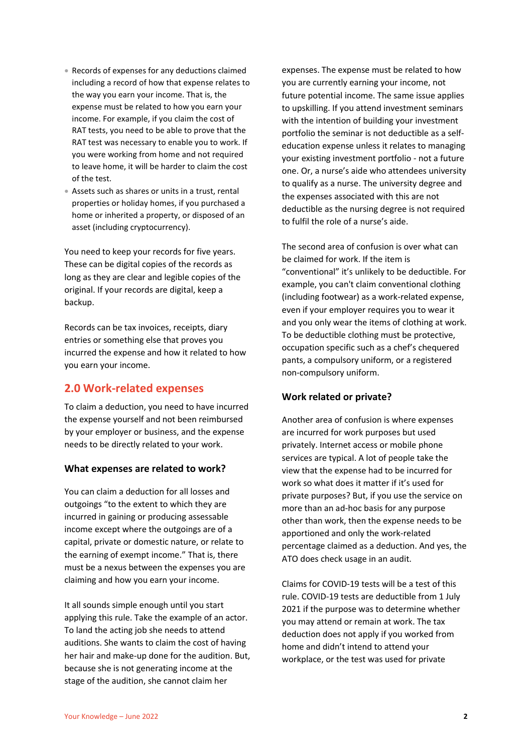- Records of expenses for any deductions claimed including a record of how that expense relates to the way you earn your income. That is, the expense must be related to how you earn your income. For example, if you claim the cost of RAT tests, you need to be able to prove that the RAT test was necessary to enable you to work. If you were working from home and not required to leave home, it will be harder to claim the cost of the test.
- Assets such as shares or units in a trust, rental properties or holiday homes, if you purchased a home or inherited a property, or disposed of an asset (including cryptocurrency).

You need to keep your records for five years. These can be digital copies of the records as long as they are clear and legible copies of the original. If your records are digital, keep a backup.

Records can be tax invoices, receipts, diary entries or something else that proves you incurred the expense and how it related to how you earn your income.

#### <span id="page-1-0"></span>**2.0 Work-related expenses**

To claim a deduction, you need to have incurred the expense yourself and not been reimbursed by your employer or business, and the expense needs to be directly related to your work.

#### **What expenses are related to work?**

You can claim a deduction for all losses and outgoings "to the extent to which they are incurred in gaining or producing assessable income except where the outgoings are of a capital, private or domestic nature, or relate to the earning of exempt income." That is, there must be a nexus between the expenses you are claiming and how you earn your income.

It all sounds simple enough until you start applying this rule. Take the example of an actor. To land the acting job she needs to attend auditions. She wants to claim the cost of having her hair and make-up done for the audition. But, because she is not generating income at the stage of the audition, she cannot claim her

expenses. The expense must be related to how you are currently earning your income, not future potential income. The same issue applies to upskilling. If you attend investment seminars with the intention of building your investment portfolio the seminar is not deductible as a selfeducation expense unless it relates to managing your existing investment portfolio - not a future one. Or, a nurse's aide who attendees university to qualify as a nurse. The university degree and the expenses associated with this are not deductible as the nursing degree is not required to fulfil the role of a nurse's aide.

The second area of confusion is over what can be claimed for work. If the item is "conventional" it's unlikely to be deductible. For example, you can't claim conventional clothing (including footwear) as a work-related expense, even if your employer requires you to wear it and you only wear the items of clothing at work. To be deductible clothing must be protective, occupation specific such as a chef's chequered pants, a compulsory uniform, or a registered non-compulsory uniform.

#### **Work related or private?**

Another area of confusion is where expenses are incurred for work purposes but used privately. Internet access or mobile phone services are typical. A lot of people take the view that the expense had to be incurred for work so what does it matter if it's used for private purposes? But, if you use the service on more than an ad-hoc basis for any purpose other than work, then the expense needs to be apportioned and only the work-related percentage claimed as a deduction. And yes, the ATO does check usage in an audit.

Claims for COVID-19 tests will be a test of this rule. COVID-19 tests are deductible from 1 July 2021 if the purpose was to determine whether you may attend or remain at work. The tax deduction does not apply if you worked from home and didn't intend to attend your workplace, or the test was used for private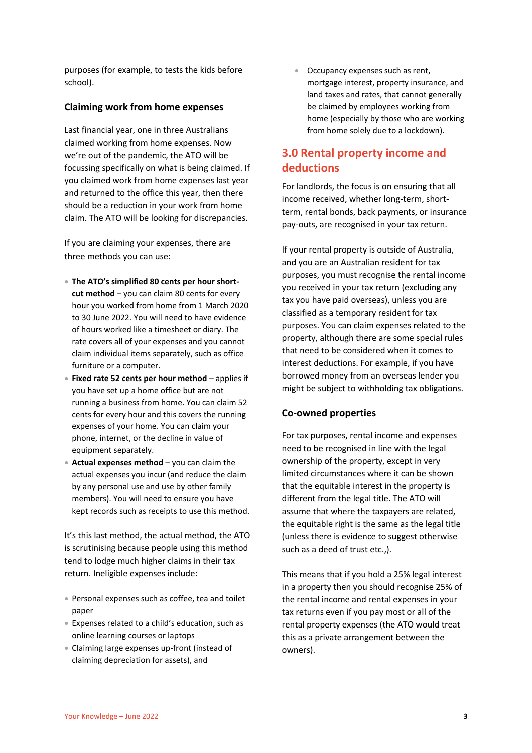purposes (for example, to tests the kids before school).

#### **Claiming work from home expenses**

Last financial year, one in three Australians claimed working from home expenses. Now we're out of the pandemic, the ATO will be focussing specifically on what is being claimed. If you claimed work from home expenses last year and returned to the office this year, then there should be a reduction in your work from home claim. The ATO will be looking for discrepancies.

If you are claiming your expenses, there are three methods you can use:

- **The ATO's simplified 80 cents per hour shortcut method** – you can claim 80 cents for every hour you worked from home from 1 March 2020 to 30 June 2022. You will need to have evidence of hours worked like a timesheet or diary. The rate covers all of your expenses and you cannot claim individual items separately, such as office furniture or a computer.
- **Fixed rate 52 cents per hour method** applies if you have set up a home office but are not running a business from home. You can claim 52 cents for every hour and this covers the running expenses of your home. You can claim your phone, internet, or the decline in value of equipment separately.
- **Actual expenses method** you can claim the actual expenses you incur (and reduce the claim by any personal use and use by other family members). You will need to ensure you have kept records such as receipts to use this method.

It's this last method, the actual method, the ATO is scrutinising because people using this method tend to lodge much higher claims in their tax return. Ineligible expenses include:

- Personal expenses such as coffee, tea and toilet paper
- Expenses related to a child's education, such as online learning courses or laptops
- Claiming large expenses up-front (instead of claiming depreciation for assets), and

 Occupancy expenses such as rent, mortgage interest, property insurance, and land taxes and rates, that cannot generally be claimed by employees working from home (especially by those who are working from home solely due to a lockdown).

#### <span id="page-2-0"></span>**3.0 Rental property income and deductions**

For landlords, the focus is on ensuring that all income received, whether long-term, shortterm, rental bonds, back payments, or insurance pay-outs, are recognised in your tax return.

If your rental property is outside of Australia, and you are an Australian resident for tax purposes, you must recognise the rental income you received in your tax return (excluding any tax you have paid overseas), unless you are classified as a temporary resident for tax purposes. You can claim expenses related to the property, although there are some special rules that need to be considered when it comes to interest deductions. For example, if you have borrowed money from an overseas lender you might be subject to withholding tax obligations.

#### **Co-owned properties**

For tax purposes, rental income and expenses need to be recognised in line with the legal ownership of the property, except in very limited circumstances where it can be shown that the equitable interest in the property is different from the legal title. The ATO will assume that where the taxpayers are related, the equitable right is the same as the legal title (unless there is evidence to suggest otherwise such as a deed of trust etc.,).

This means that if you hold a 25% legal interest in a property then you should recognise 25% of the rental income and rental expenses in your tax returns even if you pay most or all of the rental property expenses (the ATO would treat this as a private arrangement between the owners).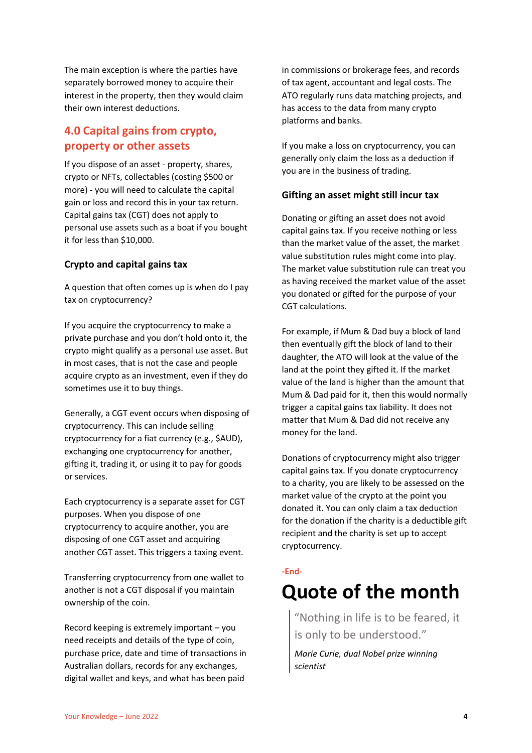The main exception is where the parties have separately borrowed money to acquire their interest in the property, then they would claim their own interest deductions.

#### <span id="page-3-0"></span>**4.0 Capital gains from crypto, property or other assets**

If you dispose of an asset - property, shares, crypto or NFTs, collectables (costing \$500 or more) - you will need to calculate the capital gain or loss and record this in your tax return. Capital gains tax (CGT) does not apply to personal use assets such as a boat if you bought it for less than \$10,000.

#### **Crypto and capital gains tax**

A question that often comes up is when do I pay tax on cryptocurrency?

If you acquire the cryptocurrency to make a private purchase and you don't hold onto it, the crypto might qualify as a personal use asset. But in most cases, that is not the case and people acquire crypto as an investment, even if they do sometimes use it to buy things.

Generally, a CGT event occurs when disposing of cryptocurrency. This can include selling cryptocurrency for a fiat currency (e.g., \$AUD), exchanging one cryptocurrency for another, gifting it, trading it, or using it to pay for goods or services.

Each cryptocurrency is a separate asset for CGT purposes. When you dispose of one cryptocurrency to acquire another, you are disposing of one CGT asset and acquiring another CGT asset. This triggers a taxing event.

Transferring cryptocurrency from one wallet to another is not a CGT disposal if you maintain ownership of the coin.

Record keeping is extremely important – you need receipts and details of the type of coin, purchase price, date and time of transactions in Australian dollars, records for any exchanges, digital wallet and keys, and what has been paid

in commissions or brokerage fees, and records of tax agent, accountant and legal costs. The ATO regularly runs data matching projects, and has access to the data from many crypto platforms and banks.

If you make a loss on cryptocurrency, you can generally only claim the loss as a deduction if you are in the business of trading.

#### **Gifting an asset might still incur tax**

Donating or gifting an asset does not avoid capital gains tax. If you receive nothing or less than the market value of the asset, the market value substitution rules might come into play. The market value substitution rule can treat you as having received the market value of the asset you donated or gifted for the purpose of your CGT calculations.

For example, if Mum & Dad buy a block of land then eventually gift the block of land to their daughter, the ATO will look at the value of the land at the point they gifted it. If the market value of the land is higher than the amount that Mum & Dad paid for it, then this would normally trigger a capital gains tax liability. It does not matter that Mum & Dad did not receive any money for the land.

Donations of cryptocurrency might also trigger capital gains tax. If you donate cryptocurrency to a charity, you are likely to be assessed on the market value of the crypto at the point you donated it. You can only claim a tax deduction for the donation if the charity is a deductible gift recipient and the charity is set up to accept cryptocurrency.

#### **-End-**

### <span id="page-3-1"></span>**Quote of the month**

"Nothing in life is to be feared, it is only to be understood."

*Marie Curie, dual Nobel prize winning scientist*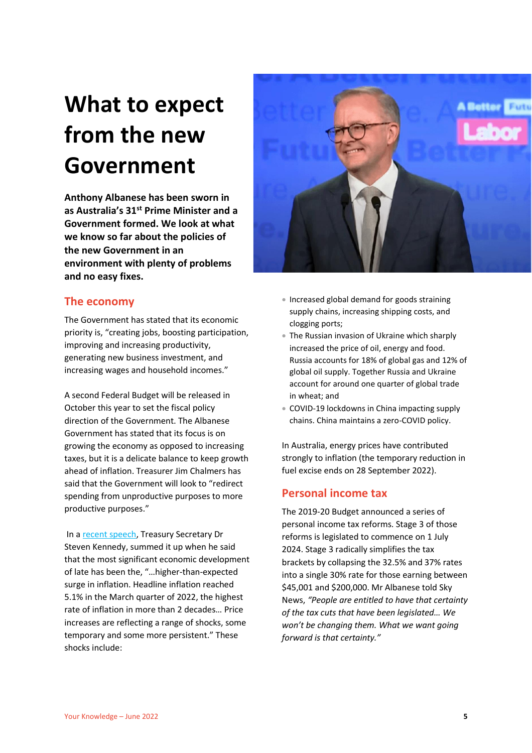# <span id="page-4-0"></span>**What to expect from the new Government**

**Anthony Albanese has been sworn in as Australia's 31st Prime Minister and a Government formed. We look at what we know so far about the policies of the new Government in an environment with plenty of problems and no easy fixes.**

#### <span id="page-4-1"></span>**The economy**

The Government has stated that its economic priority is, "creating jobs, boosting participation, improving and increasing productivity, generating new business investment, and increasing wages and household incomes."

A second Federal Budget will be released in October this year to set the fiscal policy direction of the Government. The Albanese Government has stated that its focus is on growing the economy as opposed to increasing taxes, but it is a delicate balance to keep growth ahead of inflation. Treasurer Jim Chalmers has said that the Government will look to "redirect spending from unproductive purposes to more productive purposes."

In [a recent speech,](https://treasury.gov.au/sites/default/files/2022-06/220608-drkennedy-abeaddress.pdf) Treasury Secretary Dr Steven Kennedy, summed it up when he said that the most significant economic development of late has been the, "…higher-than-expected surge in inflation. Headline inflation reached 5.1% in the March quarter of 2022, the highest rate of inflation in more than 2 decades… Price increases are reflecting a range of shocks, some temporary and some more persistent." These shocks include:



- Increased global demand for goods straining supply chains, increasing shipping costs, and clogging ports;
- The Russian invasion of Ukraine which sharply increased the price of oil, energy and food. Russia accounts for 18% of global gas and 12% of global oil supply. Together Russia and Ukraine account for around one quarter of global trade in wheat; and
- COVID-19 lockdowns in China impacting supply chains. China maintains a zero-COVID policy.

In Australia, energy prices have contributed strongly to inflation (the temporary reduction in fuel excise ends on 28 September 2022).

#### <span id="page-4-2"></span>**Personal income tax**

The 2019-20 Budget announced a series of personal income tax reforms. Stage 3 of those reforms is legislated to commence on 1 July 2024. Stage 3 radically simplifies the tax brackets by collapsing the 32.5% and 37% rates into a single 30% rate for those earning between \$45,001 and \$200,000. Mr Albanese told Sky News, *"People are entitled to have that certainty of the tax cuts that have been legislated… We won't be changing them. What we want going forward is that certainty."*